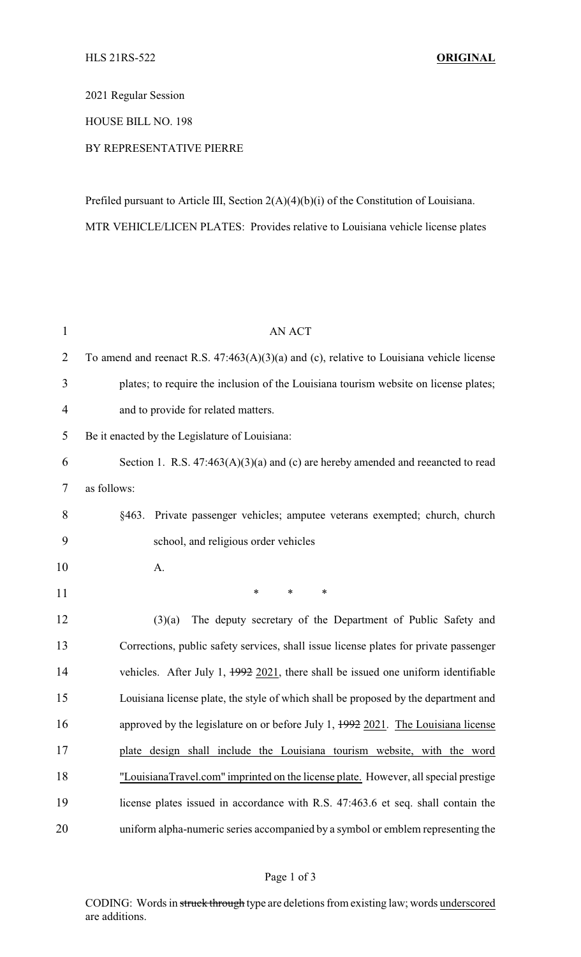2021 Regular Session

## HOUSE BILL NO. 198

## BY REPRESENTATIVE PIERRE

Prefiled pursuant to Article III, Section 2(A)(4)(b)(i) of the Constitution of Louisiana. MTR VEHICLE/LICEN PLATES: Provides relative to Louisiana vehicle license plates

| $\mathbf{1}$   | <b>AN ACT</b>                                                                                |  |  |
|----------------|----------------------------------------------------------------------------------------------|--|--|
| $\overline{2}$ | To amend and reenact R.S. $47:463(A)(3)(a)$ and (c), relative to Louisiana vehicle license   |  |  |
| 3              | plates; to require the inclusion of the Louisiana tourism website on license plates;         |  |  |
| $\overline{4}$ | and to provide for related matters.                                                          |  |  |
| 5              | Be it enacted by the Legislature of Louisiana:                                               |  |  |
| 6              | Section 1. R.S. $47:463(A)(3)(a)$ and (c) are hereby amended and reeancted to read           |  |  |
| 7              | as follows:                                                                                  |  |  |
| 8              | 8463.<br>Private passenger vehicles; amputee veterans exempted; church, church               |  |  |
| 9              | school, and religious order vehicles                                                         |  |  |
| 10             | A.                                                                                           |  |  |
| 11             | $\ast$<br>∗<br>*                                                                             |  |  |
| 12             | The deputy secretary of the Department of Public Safety and<br>(3)(a)                        |  |  |
| 13             | Corrections, public safety services, shall issue license plates for private passenger        |  |  |
| 14             | vehicles. After July 1, $\frac{1992}{2021}$ , there shall be issued one uniform identifiable |  |  |
| 15             | Louisiana license plate, the style of which shall be proposed by the department and          |  |  |
| 16             | approved by the legislature on or before July 1, $1992$ 2021. The Louisiana license          |  |  |
| 17             | plate design shall include the Louisiana tourism website, with the word                      |  |  |
| 18             | "LouisianaTravel.com" imprinted on the license plate. However, all special prestige          |  |  |
| 19             | license plates issued in accordance with R.S. 47:463.6 et seq. shall contain the             |  |  |
| 20             | uniform alpha-numeric series accompanied by a symbol or emblem representing the              |  |  |

## Page 1 of 3

CODING: Words in struck through type are deletions from existing law; words underscored are additions.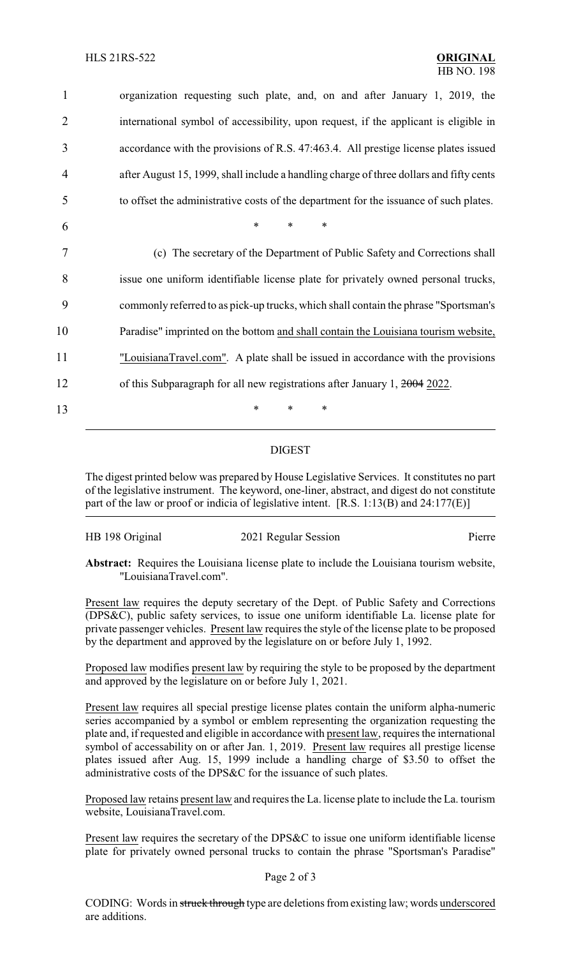organization requesting such plate, and, on and after January 1, 2019, the international symbol of accessibility, upon request, if the applicant is eligible in accordance with the provisions of R.S. 47:463.4. All prestige license plates issued after August 15, 1999, shall include a handling charge of three dollars and fifty cents to offset the administrative costs of the department for the issuance of such plates. 6 \* \* \* (c) The secretary of the Department of Public Safety and Corrections shall issue one uniform identifiable license plate for privately owned personal trucks, commonly referred to as pick-up trucks, which shall contain the phrase "Sportsman's Paradise" imprinted on the bottom and shall contain the Louisiana tourism website, "LouisianaTravel.com". A plate shall be issued in accordance with the provisions 12 of this Subparagraph for all new registrations after January 1, 2004 2022. 13 \* \* \*

## DIGEST

The digest printed below was prepared by House Legislative Services. It constitutes no part of the legislative instrument. The keyword, one-liner, abstract, and digest do not constitute part of the law or proof or indicia of legislative intent. [R.S. 1:13(B) and 24:177(E)]

| HB 198 Original | 2021 Regular Session | Pierre |
|-----------------|----------------------|--------|
|                 |                      |        |

**Abstract:** Requires the Louisiana license plate to include the Louisiana tourism website, "LouisianaTravel.com".

Present law requires the deputy secretary of the Dept. of Public Safety and Corrections (DPS&C), public safety services, to issue one uniform identifiable La. license plate for private passenger vehicles. Present law requires the style of the license plate to be proposed by the department and approved by the legislature on or before July 1, 1992.

Proposed law modifies present law by requiring the style to be proposed by the department and approved by the legislature on or before July 1, 2021.

Present law requires all special prestige license plates contain the uniform alpha-numeric series accompanied by a symbol or emblem representing the organization requesting the plate and, if requested and eligible in accordance with present law, requires the international symbol of accessability on or after Jan. 1, 2019. Present law requires all prestige license plates issued after Aug. 15, 1999 include a handling charge of \$3.50 to offset the administrative costs of the DPS&C for the issuance of such plates.

Proposed law retains present law and requires the La. license plate to include the La. tourism website, LouisianaTravel.com.

Present law requires the secretary of the DPS&C to issue one uniform identifiable license plate for privately owned personal trucks to contain the phrase "Sportsman's Paradise"